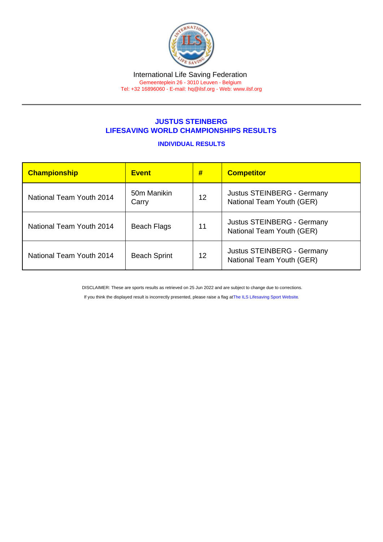## JUSTUS STEINBERG LIFESAVING WORLD CHAMPIONSHIPS RESULTS

## INDIVIDUAL RESULTS

| <b>Championship</b>      | <b>Event</b>         | #  | <b>Competitor</b>                                       |
|--------------------------|----------------------|----|---------------------------------------------------------|
| National Team Youth 2014 | 50m Manikin<br>Carry | 12 | Justus STEINBERG - Germany<br>National Team Youth (GER) |
| National Team Youth 2014 | <b>Beach Flags</b>   | 11 | Justus STEINBERG - Germany<br>National Team Youth (GER) |
| National Team Youth 2014 | <b>Beach Sprint</b>  | 12 | Justus STEINBERG - Germany<br>National Team Youth (GER) |

DISCLAIMER: These are sports results as retrieved on 25 Jun 2022 and are subject to change due to corrections.

If you think the displayed result is incorrectly presented, please raise a flag at [The ILS Lifesaving Sport Website.](https://sport.ilsf.org)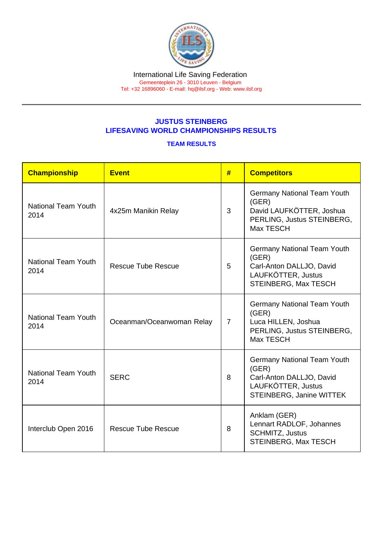## JUSTUS STEINBERG LIFESAVING WORLD CHAMPIONSHIPS RESULTS

## TEAM RESULTS

| Championship                       | <b>Event</b>              | #              | <b>Competitors</b>                                                                                                        |
|------------------------------------|---------------------------|----------------|---------------------------------------------------------------------------------------------------------------------------|
| <b>National Team Youth</b><br>2014 | 4x25m Manikin Relay       | 3              | <b>Germany National Team Youth</b><br>(GER)<br>David LAUFKÖTTER, Joshua<br>PERLING, Justus STEINBERG,<br>Max TESCH        |
| <b>National Team Youth</b><br>2014 | <b>Rescue Tube Rescue</b> | 5              | Germany National Team Youth<br>(GER)<br>Carl-Anton DALLJO, David<br>LAUFKÖTTER, Justus<br>STEINBERG, Max TESCH            |
| <b>National Team Youth</b><br>2014 | Oceanman/Oceanwoman Relay | $\overline{7}$ | <b>Germany National Team Youth</b><br>(GER)<br>Luca HILLEN, Joshua<br>PERLING, Justus STEINBERG,<br>Max TESCH             |
| <b>National Team Youth</b><br>2014 | <b>SERC</b>               | 8              | <b>Germany National Team Youth</b><br>(GER)<br>Carl-Anton DALLJO, David<br>LAUFKÖTTER, Justus<br>STEINBERG, Janine WITTEK |
| Interclub Open 2016                | <b>Rescue Tube Rescue</b> | 8              | Anklam (GER)<br>Lennart RADLOF, Johannes<br><b>SCHMITZ, Justus</b><br><b>STEINBERG, Max TESCH</b>                         |